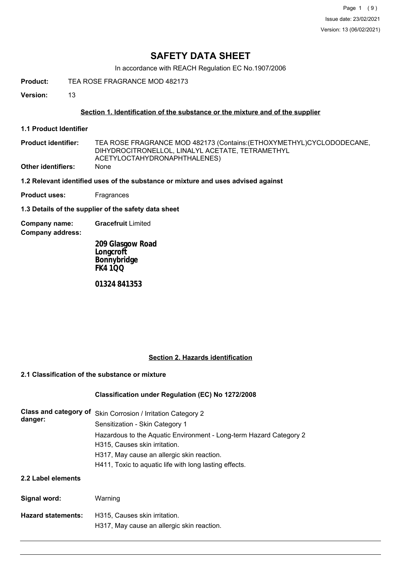# **SAFETY DATA SHEET**

In accordance with REACH Regulation EC No.1907/2006

**Product:** TEA ROSE FRAGRANCE MOD 482173

**Version:** 13

## **Section 1. Identification of the substance or the mixture and of the supplier**

- **1.1 Product Identifier**
- TEA ROSE FRAGRANCE MOD 482173 (Contains:(ETHOXYMETHYL)CYCLODODECANE, DIHYDROCITRONELLOL, LINALYL ACETATE, TETRAMETHYL ACETYLOCTAHYDRONAPHTHALENES) **Product identifier: Other identifiers:** None
- **1.2 Relevant identified uses of the substance or mixture and uses advised against**
- **Product uses:** Fragrances

**1.3 Details of the supplier of the safety data sheet**

**Company name: Gracefruit** Limited

**Company address:**

**209 Glasgow Road Longcroft Bonnybridge FK4 1QQ**

**01324 841353**

## **Section 2. Hazards identification**

## **2.1 Classification of the substance or mixture**

## **Classification under Regulation (EC) No 1272/2008**

| Class and category of<br>danger: | Skin Corrosion / Irritation Category 2<br>Sensitization - Skin Category 1<br>Hazardous to the Aquatic Environment - Long-term Hazard Category 2 |
|----------------------------------|-------------------------------------------------------------------------------------------------------------------------------------------------|
|                                  | H315, Causes skin irritation.                                                                                                                   |
|                                  | H317, May cause an allergic skin reaction.                                                                                                      |
|                                  | H411, Toxic to aguatic life with long lasting effects.                                                                                          |
| 2.2 Label elements               |                                                                                                                                                 |
| Signal word:                     | Warning                                                                                                                                         |
| <b>Hazard statements:</b>        | H315. Causes skin irritation.<br>H317, May cause an allergic skin reaction.                                                                     |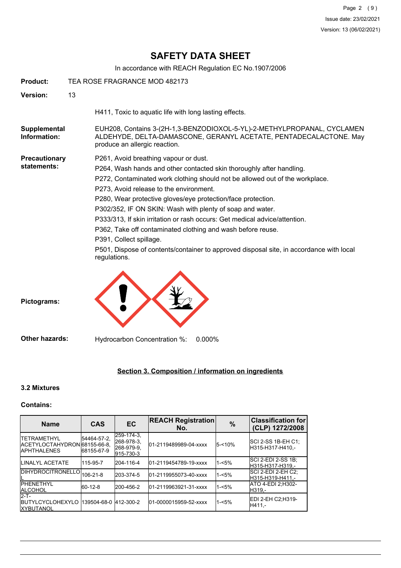# **SAFETY DATA SHEET**

In accordance with REACH Regulation EC No.1907/2006

| Product:                            | TEA ROSE FRAGRANCE MOD 482173 |                                                                                                                                                                                                                                                                                                                                                                                                                                                                                                                                                                                                                                                          |  |  |
|-------------------------------------|-------------------------------|----------------------------------------------------------------------------------------------------------------------------------------------------------------------------------------------------------------------------------------------------------------------------------------------------------------------------------------------------------------------------------------------------------------------------------------------------------------------------------------------------------------------------------------------------------------------------------------------------------------------------------------------------------|--|--|
| <b>Version:</b>                     | 13                            |                                                                                                                                                                                                                                                                                                                                                                                                                                                                                                                                                                                                                                                          |  |  |
|                                     |                               | H411, Toxic to aquatic life with long lasting effects.                                                                                                                                                                                                                                                                                                                                                                                                                                                                                                                                                                                                   |  |  |
| Supplemental<br>Information:        |                               | EUH208, Contains 3-(2H-1,3-BENZODIOXOL-5-YL)-2-METHYLPROPANAL, CYCLAMEN<br>ALDEHYDE, DELTA-DAMASCONE, GERANYL ACETATE, PENTADECALACTONE. May<br>produce an allergic reaction.                                                                                                                                                                                                                                                                                                                                                                                                                                                                            |  |  |
| <b>Precautionary</b><br>statements: |                               | P261, Avoid breathing vapour or dust.<br>P264, Wash hands and other contacted skin thoroughly after handling.<br>P272, Contaminated work clothing should not be allowed out of the workplace.<br>P273, Avoid release to the environment.<br>P280, Wear protective gloves/eye protection/face protection.<br>P302/352, IF ON SKIN: Wash with plenty of soap and water.<br>P333/313, If skin irritation or rash occurs: Get medical advice/attention.<br>P362, Take off contaminated clothing and wash before reuse.<br>P391, Collect spillage.<br>P501, Dispose of contents/container to approved disposal site, in accordance with local<br>regulations. |  |  |
| Pictograms:                         |                               |                                                                                                                                                                                                                                                                                                                                                                                                                                                                                                                                                                                                                                                          |  |  |
| <b>Other hazards:</b>               |                               | 0.000%<br>Hydrocarbon Concentration %:                                                                                                                                                                                                                                                                                                                                                                                                                                                                                                                                                                                                                   |  |  |

## **Section 3. Composition / information on ingredients**

## **3.2 Mixtures**

## **Contains:**

| <b>Name</b>                                                                 | <b>CAS</b>                | <b>EC</b>                                            | <b>REACH Registration</b><br>No. | $\frac{9}{6}$ | <b>Classification for</b><br>(CLP) 1272/2008 |
|-----------------------------------------------------------------------------|---------------------------|------------------------------------------------------|----------------------------------|---------------|----------------------------------------------|
| <b>ITETRAMETHYL</b><br>IACETYLOCTAHYDRON168155-66-8.<br><b>IAPHTHALENES</b> | 54464-57-2.<br>68155-67-9 | 259-174-3.<br>268-978-3.<br> 268-979-9.<br>915-730-3 | 01-2119489989-04-xxxx            | 5-<10%        | SCI 2-SS 1B-EH C1:<br>H315-H317-H410.-       |
| <b>ILINALYL ACETATE</b>                                                     | 115-95-7                  | 204-116-4                                            | 01-2119454789-19-xxxx            | $1 - 5%$      | ISCI 2-EDI 2-SS 1B:<br>H315-H317-H319.-      |
| <b>IDIHYDROCITRONELLOI</b>                                                  | 106-21-8                  | 203-374-5                                            | 01-2119955073-40-xxxx            | $1 - 5%$      | ISCI 2-EDI 2-EH C2:<br>lH315-H319-H411.-     |
| <b>IPHENETHYL</b><br><b>IALCOHOL</b>                                        | 60-12-8                   | 200-456-2                                            | 01-2119963921-31-xxxx            | $1 - 5%$      | ATO 4-EDI 2:H302-<br>H319.-                  |
| $2-T$ -<br><b>IBUTYLCYCLOHEXYLO</b><br><b>IXYBUTANOL</b>                    | 139504-68-0 412-300-2     |                                                      | 01-0000015959-52-xxxx            | $1 - 5%$      | EDI 2-EH C2:H319-<br>H411.-                  |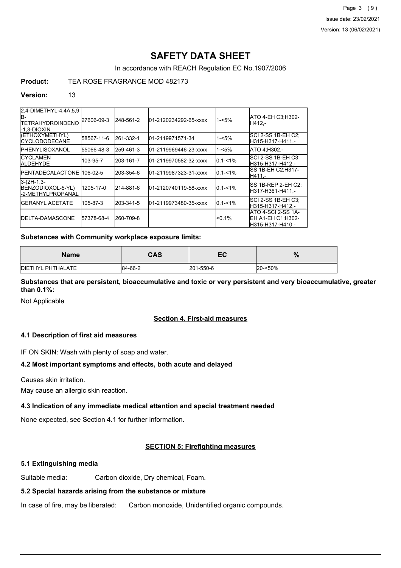Page 3 (9) Issue date: 23/02/2021 Version: 13 (06/02/2021)

# **SAFETY DATA SHEET**

In accordance with REACH Regulation EC No.1907/2006

## **Product:** TEA ROSE FRAGRANCE MOD 482173

#### **Version:** 13

| 2.4-DIMETHYL-4.4A.5.9<br>IB-<br><b>TETRAHYDROINDENO</b><br>l-1.3-DIOXIN | 27606-09-3 | 248-561-2 | 01-2120234292-65-xxxx  | $1 - 5%$    | ATO 4-EH C3:H302-<br>H412.-                                 |
|-------------------------------------------------------------------------|------------|-----------|------------------------|-------------|-------------------------------------------------------------|
| (ETHOXYMETHYL)<br><b>ICYCLODODECANE</b>                                 | 58567-11-6 | 261-332-1 | 101-2119971571-34      | $1 - 5%$    | SCI 2-SS 1B-EH C2:<br>H315-H317-H411.-                      |
| <b>IPHENYLISOXANOL</b>                                                  | 55066-48-3 | 259-461-3 | 01-2119969446-23-xxxx  | $1 - 5%$    | ATO 4.H302 -                                                |
| <b>ICYCLAMEN</b><br><b>ALDEHYDE</b>                                     | 103-95-7   | 203-161-7 | 01-2119970582-32-xxxx  | $0.1 - 1\%$ | SCI 2-SS 1B-EH C3:<br>H315-H317-H412.-                      |
| <b>IPENTADECALACTONE 106-02-5</b>                                       |            | 203-354-6 | l01-2119987323-31-xxxx | $0.1 - 1\%$ | SS 1B-EH C2:H317-<br>H411.-                                 |
| $3-(2H-1,3-$<br>BENZODIOXOL-5-YL)<br>-2-METHYLPROPANAL                  | 1205-17-0  | 214-881-6 | 01-2120740119-58-xxxx  | $0.1 - 1\%$ | SS 1B-REP 2-EH C2:<br>H317-H361-H411.-                      |
| <b>I</b> GERANYL ACETATE                                                | 105-87-3   | 203-341-5 | l01-2119973480-35-xxxx | $0.1 - 1\%$ | <b>SCI 2-SS 1B-EH C3:</b><br>H315-H317-H412.-               |
| <b>IDELTA-DAMASCONE</b>                                                 | 57378-68-4 | 260-709-8 |                        | < 0.1%      | ATO 4-SCI 2-SS 1A-<br>EH A1-EH C1:H302-<br>H315-H317-H410.- |

#### **Substances with Community workplace exposure limits:**

| Name                      | <b>CAS</b> | cr<br>cv  | $\mathbf{a}$<br>70 |
|---------------------------|------------|-----------|--------------------|
| <b>IDIETHYL PHTHALATE</b> | 84-66-2    | 201-550-6 | 20-<50%            |

## **Substances that are persistent, bioaccumulative and toxic or very persistent and very bioaccumulative, greater than 0.1%:**

Not Applicable

## **Section 4. First-aid measures**

## **4.1 Description of first aid measures**

IF ON SKIN: Wash with plenty of soap and water.

## **4.2 Most important symptoms and effects, both acute and delayed**

Causes skin irritation.

May cause an allergic skin reaction.

# **4.3 Indication of any immediate medical attention and special treatment needed**

None expected, see Section 4.1 for further information.

# **SECTION 5: Firefighting measures**

## **5.1 Extinguishing media**

Suitable media: Carbon dioxide, Dry chemical, Foam.

## **5.2 Special hazards arising from the substance or mixture**

In case of fire, may be liberated: Carbon monoxide, Unidentified organic compounds.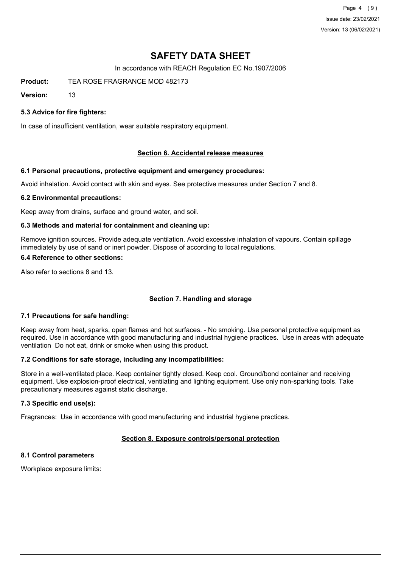Page 4 (9) Issue date: 23/02/2021 Version: 13 (06/02/2021)

# **SAFETY DATA SHEET**

In accordance with REACH Regulation EC No.1907/2006

**Product:** TEA ROSE FRAGRANCE MOD 482173

**Version:** 13

## **5.3 Advice for fire fighters:**

In case of insufficient ventilation, wear suitable respiratory equipment.

## **Section 6. Accidental release measures**

#### **6.1 Personal precautions, protective equipment and emergency procedures:**

Avoid inhalation. Avoid contact with skin and eyes. See protective measures under Section 7 and 8.

#### **6.2 Environmental precautions:**

Keep away from drains, surface and ground water, and soil.

#### **6.3 Methods and material for containment and cleaning up:**

Remove ignition sources. Provide adequate ventilation. Avoid excessive inhalation of vapours. Contain spillage immediately by use of sand or inert powder. Dispose of according to local regulations.

#### **6.4 Reference to other sections:**

Also refer to sections 8 and 13.

## **Section 7. Handling and storage**

## **7.1 Precautions for safe handling:**

Keep away from heat, sparks, open flames and hot surfaces. - No smoking. Use personal protective equipment as required. Use in accordance with good manufacturing and industrial hygiene practices. Use in areas with adequate ventilation Do not eat, drink or smoke when using this product.

## **7.2 Conditions for safe storage, including any incompatibilities:**

Store in a well-ventilated place. Keep container tightly closed. Keep cool. Ground/bond container and receiving equipment. Use explosion-proof electrical, ventilating and lighting equipment. Use only non-sparking tools. Take precautionary measures against static discharge.

## **7.3 Specific end use(s):**

Fragrances: Use in accordance with good manufacturing and industrial hygiene practices.

# **Section 8. Exposure controls/personal protection**

# **8.1 Control parameters**

Workplace exposure limits: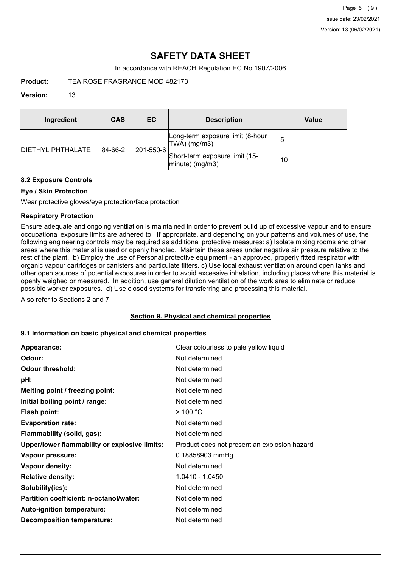# **SAFETY DATA SHEET**

In accordance with REACH Regulation EC No.1907/2006

**Product:** TEA ROSE FRAGRANCE MOD 482173

## **Version:** 13

| Ingredient                | CAS     | EC.               | <b>Description</b>                                   | Value |
|---------------------------|---------|-------------------|------------------------------------------------------|-------|
| <b>IDIETHYL PHTHALATE</b> | 84-66-2 | $ 201 - 550 - 6 $ | Long-term exposure limit (8-hour<br>TWA) (mg/m3)     | 15    |
|                           |         |                   | Short-term exposure limit (15-<br>$ minute)$ (mg/m3) | 10    |

## **8.2 Exposure Controls**

## **Eye / Skin Protection**

Wear protective gloves/eye protection/face protection

## **Respiratory Protection**

Ensure adequate and ongoing ventilation is maintained in order to prevent build up of excessive vapour and to ensure occupational exposure limits are adhered to. If appropriate, and depending on your patterns and volumes of use, the following engineering controls may be required as additional protective measures: a) Isolate mixing rooms and other areas where this material is used or openly handled. Maintain these areas under negative air pressure relative to the rest of the plant. b) Employ the use of Personal protective equipment - an approved, properly fitted respirator with organic vapour cartridges or canisters and particulate filters. c) Use local exhaust ventilation around open tanks and other open sources of potential exposures in order to avoid excessive inhalation, including places where this material is openly weighed or measured. In addition, use general dilution ventilation of the work area to eliminate or reduce possible worker exposures. d) Use closed systems for transferring and processing this material.

Also refer to Sections 2 and 7.

## **Section 9. Physical and chemical properties**

## **9.1 Information on basic physical and chemical properties**

| Appearance:                                   | Clear colourless to pale yellow liquid       |
|-----------------------------------------------|----------------------------------------------|
| Odour:                                        | Not determined                               |
| <b>Odour threshold:</b>                       | Not determined                               |
| pH:                                           | Not determined                               |
| Melting point / freezing point:               | Not determined                               |
| Initial boiling point / range:                | Not determined                               |
| Flash point:                                  | $>$ 100 °C                                   |
| <b>Evaporation rate:</b>                      | Not determined                               |
| Flammability (solid, gas):                    | Not determined                               |
| Upper/lower flammability or explosive limits: | Product does not present an explosion hazard |
| Vapour pressure:                              | 0.18858903 mmHg                              |
| Vapour density:                               | Not determined                               |
| <b>Relative density:</b>                      | 1.0410 - 1.0450                              |
| Solubility(ies):                              | Not determined                               |
| Partition coefficient: n-octanol/water:       | Not determined                               |
| Auto-ignition temperature:                    | Not determined                               |
| <b>Decomposition temperature:</b>             | Not determined                               |
|                                               |                                              |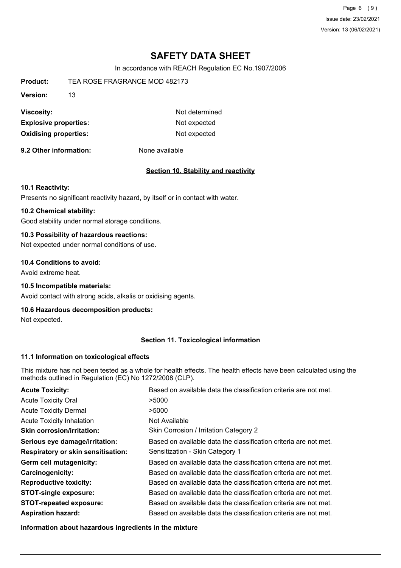Page 6 (9) Issue date: 23/02/2021 Version: 13 (06/02/2021)

# **SAFETY DATA SHEET**

In accordance with REACH Regulation EC No.1907/2006

| Product:                     | TEA ROSE FRAGRANCE MOD 482173 |                |
|------------------------------|-------------------------------|----------------|
| Version:                     | 13                            |                |
| Viscosity:                   |                               | Not determined |
| <b>Explosive properties:</b> |                               | Not expected   |
| <b>Oxidising properties:</b> |                               | Not expected   |

**9.2 Other information:** None available

## **Section 10. Stability and reactivity**

#### **10.1 Reactivity:**

Presents no significant reactivity hazard, by itself or in contact with water.

## **10.2 Chemical stability:**

Good stability under normal storage conditions.

## **10.3 Possibility of hazardous reactions:**

Not expected under normal conditions of use.

#### **10.4 Conditions to avoid:**

Avoid extreme heat.

#### **10.5 Incompatible materials:**

Avoid contact with strong acids, alkalis or oxidising agents.

#### **10.6 Hazardous decomposition products:**

Not expected.

## **Section 11. Toxicological information**

#### **11.1 Information on toxicological effects**

This mixture has not been tested as a whole for health effects. The health effects have been calculated using the methods outlined in Regulation (EC) No 1272/2008 (CLP).

| <b>Acute Toxicity:</b>                    | Based on available data the classification criteria are not met. |
|-------------------------------------------|------------------------------------------------------------------|
| <b>Acute Toxicity Oral</b>                | >5000                                                            |
| <b>Acute Toxicity Dermal</b>              | >5000                                                            |
| <b>Acute Toxicity Inhalation</b>          | Not Available                                                    |
| <b>Skin corrosion/irritation:</b>         | Skin Corrosion / Irritation Category 2                           |
| Serious eye damage/irritation:            | Based on available data the classification criteria are not met. |
| <b>Respiratory or skin sensitisation:</b> | Sensitization - Skin Category 1                                  |
| Germ cell mutagenicity:                   | Based on available data the classification criteria are not met. |
| <b>Carcinogenicity:</b>                   | Based on available data the classification criteria are not met. |
| <b>Reproductive toxicity:</b>             | Based on available data the classification criteria are not met. |
| <b>STOT-single exposure:</b>              | Based on available data the classification criteria are not met. |
| <b>STOT-repeated exposure:</b>            | Based on available data the classification criteria are not met. |
| <b>Aspiration hazard:</b>                 | Based on available data the classification criteria are not met. |

**Information about hazardous ingredients in the mixture**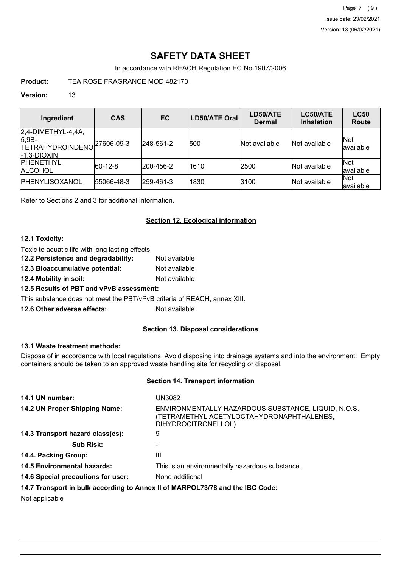Page 7 (9) Issue date: 23/02/2021 Version: 13 (06/02/2021)

# **SAFETY DATA SHEET**

In accordance with REACH Regulation EC No.1907/2006

**Product:** TEA ROSE FRAGRANCE MOD 482173

## **Version:** 13

| Ingredient                                                                    | <b>CAS</b> | EC        | <b>LD50/ATE Oral</b> | LD50/ATE<br>Dermal | LC50/ATE<br><b>Inhalation</b> | <b>LC50</b><br><b>Route</b> |
|-------------------------------------------------------------------------------|------------|-----------|----------------------|--------------------|-------------------------------|-----------------------------|
| $2,4$ -DIMETHYL-4,4A,<br>$ 5,9B-$<br><b>TETRAHYDROINDENO</b><br>$-1,3-DIOXIN$ | 27606-09-3 | 248-561-2 | 500                  | Not available      | lNot available                | Not<br>available            |
| <b>IPHENETHYL</b><br><b>ALCOHOL</b>                                           | 60-12-8    | 200-456-2 | 1610                 | 2500               | Not available                 | Not<br>available            |
| <b>IPHENYLISOXANOL</b>                                                        | 55066-48-3 | 259-461-3 | 1830                 | 3100               | Not available                 | Not<br>available            |

Refer to Sections 2 and 3 for additional information.

## **Section 12. Ecological information**

## **12.1 Toxicity:**

Toxic to aquatic life with long lasting effects.

- **12.2 Persistence and degradability:** Not available
- **12.3 Bioaccumulative potential:** Not available

**12.4 Mobility in soil:** Not available

## **12.5 Results of PBT and vPvB assessment:**

This substance does not meet the PBT/vPvB criteria of REACH, annex XIII.

**12.6 Other adverse effects:** Not available

## **Section 13. Disposal considerations**

## **13.1 Waste treatment methods:**

Dispose of in accordance with local regulations. Avoid disposing into drainage systems and into the environment. Empty containers should be taken to an approved waste handling site for recycling or disposal.

## **Section 14. Transport information**

| 14.1 UN number:                                                               | UN3082                                                                                                                  |
|-------------------------------------------------------------------------------|-------------------------------------------------------------------------------------------------------------------------|
| 14.2 UN Proper Shipping Name:                                                 | ENVIRONMENTALLY HAZARDOUS SUBSTANCE, LIQUID, N.O.S.<br>(TETRAMETHYL ACETYLOCTAHYDRONAPHTHALENES,<br>DIHYDROCITRONELLOL) |
| 14.3 Transport hazard class(es):                                              | 9                                                                                                                       |
| <b>Sub Risk:</b>                                                              |                                                                                                                         |
| 14.4. Packing Group:                                                          | Ш                                                                                                                       |
| <b>14.5 Environmental hazards:</b>                                            | This is an environmentally hazardous substance.                                                                         |
| 14.6 Special precautions for user:                                            | None additional                                                                                                         |
| 14.7 Transport in bulk according to Annex II of MARPOL73/78 and the IBC Code: |                                                                                                                         |

Not applicable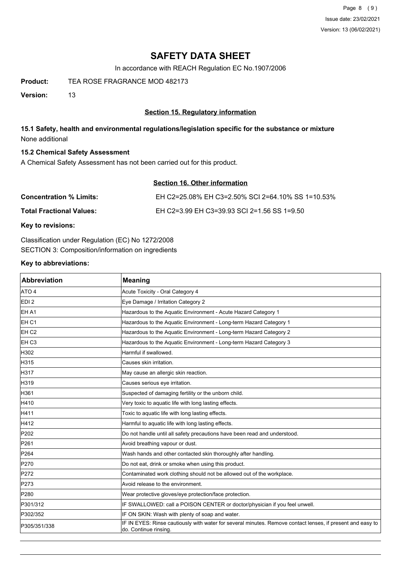Page 8 (9) Issue date: 23/02/2021 Version: 13 (06/02/2021)

# **SAFETY DATA SHEET**

In accordance with REACH Regulation EC No.1907/2006

**Product:** TEA ROSE FRAGRANCE MOD 482173

**Version:** 13

## **Section 15. Regulatory information**

## **15.1 Safety, health and environmental regulations/legislation specific for the substance or mixture** None additional

## **15.2 Chemical Safety Assessment**

A Chemical Safety Assessment has not been carried out for this product.

## **Section 16. Other information**

| <b>Concentration % Limits:</b>  | EH C2=25.08% EH C3=2.50% SCI 2=64.10% SS 1=10.53% |
|---------------------------------|---------------------------------------------------|
| <b>Total Fractional Values:</b> | EH C2=3.99 EH C3=39.93 SCI 2=1.56 SS 1=9.50       |

**Key to revisions:**

Classification under Regulation (EC) No 1272/2008 SECTION 3: Composition/information on ingredients

## **Key to abbreviations:**

| <b>Abbreviation</b> | <b>Meaning</b>                                                                                                                      |
|---------------------|-------------------------------------------------------------------------------------------------------------------------------------|
| ATO 4               | Acute Toxicity - Oral Category 4                                                                                                    |
| EDI <sub>2</sub>    | Eye Damage / Irritation Category 2                                                                                                  |
| EH A1               | Hazardous to the Aquatic Environment - Acute Hazard Category 1                                                                      |
| EH <sub>C1</sub>    | Hazardous to the Aquatic Environment - Long-term Hazard Category 1                                                                  |
| EH <sub>C2</sub>    | Hazardous to the Aquatic Environment - Long-term Hazard Category 2                                                                  |
| EH <sub>C3</sub>    | Hazardous to the Aquatic Environment - Long-term Hazard Category 3                                                                  |
| H302                | Harmful if swallowed.                                                                                                               |
| H315                | Causes skin irritation.                                                                                                             |
| H317                | May cause an allergic skin reaction.                                                                                                |
| H319                | Causes serious eye irritation.                                                                                                      |
| H361                | Suspected of damaging fertility or the unborn child.                                                                                |
| H410                | Very toxic to aquatic life with long lasting effects.                                                                               |
| H411                | Toxic to aquatic life with long lasting effects.                                                                                    |
| H412                | Harmful to aquatic life with long lasting effects.                                                                                  |
| P202                | Do not handle until all safety precautions have been read and understood.                                                           |
| P261                | Avoid breathing vapour or dust.                                                                                                     |
| P264                | Wash hands and other contacted skin thoroughly after handling.                                                                      |
| P270                | Do not eat, drink or smoke when using this product.                                                                                 |
| P272                | Contaminated work clothing should not be allowed out of the workplace.                                                              |
| P273                | Avoid release to the environment.                                                                                                   |
| P280                | Wear protective gloves/eye protection/face protection.                                                                              |
| P301/312            | IF SWALLOWED: call a POISON CENTER or doctor/physician if you feel unwell.                                                          |
| P302/352            | IF ON SKIN: Wash with plenty of soap and water.                                                                                     |
| P305/351/338        | IF IN EYES: Rinse cautiously with water for several minutes. Remove contact lenses, if present and easy to<br>do. Continue rinsing. |